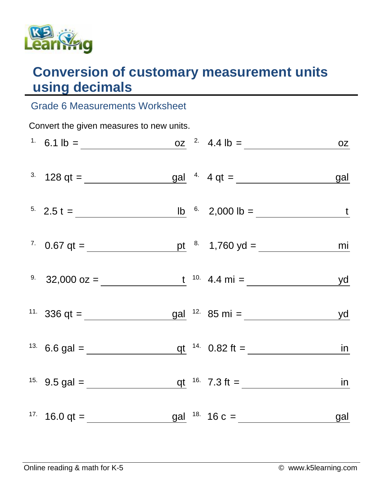

## **Conversion of customary measurement units using decimals**

## Grade 6 Measurements Worksheet

| Convert the given measures to new units. |  |  |  |                                                                                                   |    |  |  |  |
|------------------------------------------|--|--|--|---------------------------------------------------------------------------------------------------|----|--|--|--|
|                                          |  |  |  | <sup>1</sup> 6.1 lb = $\frac{oz}{2}$ 4.4 lb = $\frac{oz}{2}$ 6.1 lb =                             |    |  |  |  |
|                                          |  |  |  | <sup>3.</sup> $128 qt =$ gal <sup>4.</sup> $4 qt =$ gal <sup>9.</sup> $4 qt =$ gal                |    |  |  |  |
|                                          |  |  |  |                                                                                                   |    |  |  |  |
|                                          |  |  |  |                                                                                                   | mi |  |  |  |
|                                          |  |  |  | <sup>9.</sup> 32,000 oz = $\frac{t}{x}$ <sup>10.</sup> 4.4 mi = <u>yd</u>                         |    |  |  |  |
|                                          |  |  |  | <sup>11.</sup> 336 qt = $\frac{1}{\sqrt{36}}$ gal <sup>12.</sup> 85 mi = $\frac{1}{\sqrt{36}}$ yd |    |  |  |  |
|                                          |  |  |  |                                                                                                   |    |  |  |  |
|                                          |  |  |  |                                                                                                   |    |  |  |  |
|                                          |  |  |  | <sup>17.</sup> 16.0 qt = $\frac{gal}{\sqrt{18}}$ 16 c = $\frac{gal}{\sqrt{18}}$                   |    |  |  |  |